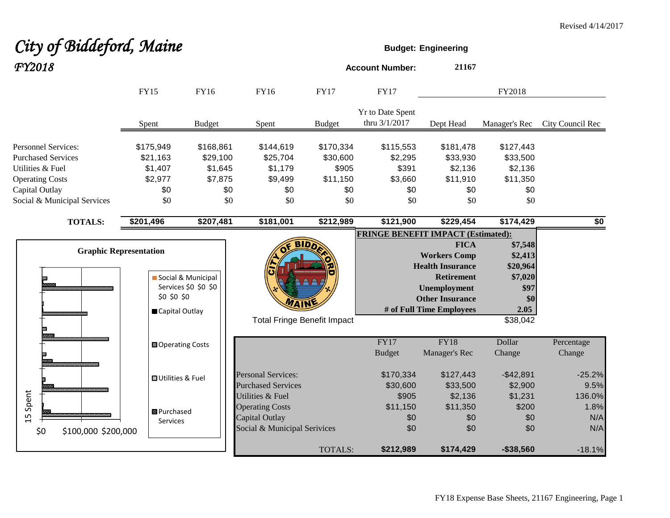# City of Biddeford, Maine *FY2018* **Account Number: <sup>21167</sup>**

|                                                                                                                                                        | <b>FY15</b>                                                    | FY16                                                      | FY16                                                                                         | <b>FY17</b>                                              | <b>FY17</b>                                            |                                                                                                                                                          | FY2018                                                                       |                              |
|--------------------------------------------------------------------------------------------------------------------------------------------------------|----------------------------------------------------------------|-----------------------------------------------------------|----------------------------------------------------------------------------------------------|----------------------------------------------------------|--------------------------------------------------------|----------------------------------------------------------------------------------------------------------------------------------------------------------|------------------------------------------------------------------------------|------------------------------|
|                                                                                                                                                        | Spent                                                          | <b>Budget</b>                                             | Spent                                                                                        | <b>Budget</b>                                            | Yr to Date Spent<br>thru 3/1/2017                      | Dept Head                                                                                                                                                | Manager's Rec                                                                | City Council Rec             |
| <b>Personnel Services:</b><br><b>Purchased Services</b><br>Utilities & Fuel<br><b>Operating Costs</b><br>Capital Outlay<br>Social & Municipal Services | \$175,949<br>\$21,163<br>\$1,407<br>\$2,977<br>\$0<br>\$0      | \$168,861<br>\$29,100<br>\$1,645<br>\$7,875<br>\$0<br>\$0 | \$144,619<br>\$25,704<br>\$1,179<br>\$9,499<br>\$0<br>\$0                                    | \$170,334<br>\$30,600<br>\$905<br>\$11,150<br>\$0<br>\$0 | \$115,553<br>\$2,295<br>\$391<br>\$3,660<br>\$0<br>\$0 | \$181,478<br>\$33,930<br>\$2,136<br>\$11,910<br>\$0<br>\$0                                                                                               | \$127,443<br>\$33,500<br>\$2,136<br>\$11,350<br>\$0<br>\$0                   |                              |
| <b>TOTALS:</b>                                                                                                                                         | \$201,496                                                      | \$207,481                                                 | \$181,001                                                                                    | \$212,989                                                | \$121,900                                              | \$229,454                                                                                                                                                | \$174,429                                                                    | $\overline{50}$              |
|                                                                                                                                                        | <b>Graphic Representation</b><br>\$0 \$0 \$0<br>Capital Outlay | Social & Municipal<br>Services \$0 \$0 \$0                |                                                                                              | <b>BIDD</b><br><b>Total Fringe Benefit Impact</b>        | <b>FRINGE BENEFIT IMPACT (Estimated):</b>              | <b>FICA</b><br><b>Workers Comp</b><br><b>Health Insurance</b><br><b>Retirement</b><br>Unemployment<br><b>Other Insurance</b><br># of Full Time Employees | \$7,548<br>\$2,413<br>\$20,964<br>\$7,020<br>\$97<br>\$0<br>2.05<br>\$38,042 |                              |
|                                                                                                                                                        | <b>□</b> Operating Costs                                       |                                                           |                                                                                              |                                                          | FY17<br><b>Budget</b>                                  | <b>FY18</b><br>Manager's Rec                                                                                                                             | Dollar<br>Change                                                             | Percentage<br>Change         |
|                                                                                                                                                        | <b>OUtilities &amp; Fuel</b>                                   |                                                           | <b>Personal Services:</b><br><b>Purchased Services</b>                                       |                                                          | \$170,334<br>\$30,600                                  | \$127,443<br>\$33,500                                                                                                                                    | $-$42,891$<br>\$2,900                                                        | $-25.2%$<br>9.5%             |
| 15 Spent<br>\$0<br>\$100,000 \$200,000                                                                                                                 | <b>B</b> Purchased<br>Services                                 |                                                           | Utilities & Fuel<br><b>Operating Costs</b><br>Capital Outlay<br>Social & Municipal Serivices |                                                          | \$905<br>\$11,150<br>\$0<br>\$0                        | \$2,136<br>\$11,350<br>\$0<br>\$0                                                                                                                        | \$1,231<br>\$200<br>\$0<br>\$0                                               | 136.0%<br>1.8%<br>N/A<br>N/A |
|                                                                                                                                                        |                                                                |                                                           |                                                                                              | TOTALS:                                                  | \$212,989                                              | \$174,429                                                                                                                                                | $-$38,560$                                                                   | $-18.1%$                     |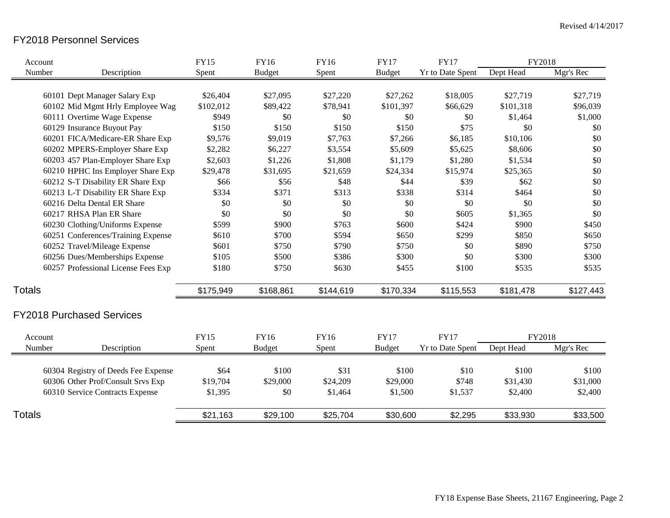# FY2018 Personnel Services

| Account       |                                     | <b>FY15</b> | FY16          | <b>FY16</b> | <b>FY17</b>   | <b>FY17</b>             | FY2018    |           |
|---------------|-------------------------------------|-------------|---------------|-------------|---------------|-------------------------|-----------|-----------|
| Number        | Description                         | Spent       | <b>Budget</b> | Spent       | <b>Budget</b> | <b>Yr to Date Spent</b> | Dept Head | Mgr's Rec |
|               | 60101 Dept Manager Salary Exp       | \$26,404    | \$27,095      | \$27,220    | \$27,262      | \$18,005                | \$27,719  | \$27,719  |
|               | 60102 Mid Mgmt Hrly Employee Wag    | \$102,012   | \$89,422      | \$78,941    | \$101,397     | \$66,629                | \$101,318 | \$96,039  |
|               | 60111 Overtime Wage Expense         | \$949       | \$0           | \$0         | \$0           | \$0                     | \$1,464   | \$1,000   |
|               | 60129 Insurance Buyout Pay          | \$150       | \$150         | \$150       | \$150         | \$75                    | \$0       | \$0       |
|               | 60201 FICA/Medicare-ER Share Exp    | \$9,576     | \$9,019       | \$7,763     | \$7,266       | \$6,185                 | \$10,106  | \$0       |
|               | 60202 MPERS-Employer Share Exp      | \$2,282     | \$6,227       | \$3,554     | \$5,609       | \$5,625                 | \$8,606   | \$0       |
|               | 60203 457 Plan-Employer Share Exp   | \$2,603     | \$1,226       | \$1,808     | \$1,179       | \$1,280                 | \$1,534   | \$0       |
|               | 60210 HPHC Ins Employer Share Exp   | \$29,478    | \$31,695      | \$21,659    | \$24,334      | \$15,974                | \$25,365  | \$0       |
|               | 60212 S-T Disability ER Share Exp   | \$66        | \$56          | \$48        | \$44          | \$39                    | \$62      | \$0       |
|               | 60213 L-T Disability ER Share Exp   | \$334       | \$371         | \$313       | \$338         | \$314                   | \$464     | \$0       |
|               | 60216 Delta Dental ER Share         | \$0         | \$0           | \$0         | \$0           | \$0                     | \$0       | \$0       |
|               | 60217 RHSA Plan ER Share            | \$0         | \$0           | \$0         | \$0           | \$605                   | \$1,365   | \$0       |
|               | 60230 Clothing/Uniforms Expense     | \$599       | \$900         | \$763       | \$600         | \$424                   | \$900     | \$450     |
|               | 60251 Conferences/Training Expense  | \$610       | \$700         | \$594       | \$650         | \$299                   | \$850     | \$650     |
|               | 60252 Travel/Mileage Expense        | \$601       | \$750         | \$790       | \$750         | \$0                     | \$890     | \$750     |
|               | 60256 Dues/Memberships Expense      | \$105       | \$500         | \$386       | \$300         | \$0                     | \$300     | \$300     |
|               | 60257 Professional License Fees Exp | \$180       | \$750         | \$630       | \$455         | \$100                   | \$535     | \$535     |
| <b>Totals</b> |                                     | \$175,949   | \$168,861     | \$144,619   | \$170,334     | \$115,553               | \$181,478 | \$127,443 |
|               | <b>FY2018 Purchased Services</b>    |             |               |             |               |                         |           |           |
| Account       |                                     | <b>FY15</b> | <b>FY16</b>   | <b>FY16</b> | <b>FY17</b>   | <b>FY17</b>             | FY2018    |           |
| Number        | Description                         | Spent       | <b>Budget</b> | Spent       | <b>Budget</b> | <b>Yr to Date Spent</b> | Dept Head | Mgr's Rec |
|               | 60304 Registry of Deeds Fee Expense | \$64        | \$100         | \$31        | \$100         | \$10                    | \$100     | \$100     |
|               | 60306 Other Prof/Consult Srvs Exp   | \$19,704    | \$29,000      | \$24,209    | \$29,000      | \$748                   | \$31,430  | \$31,000  |
|               | 60310 Service Contracts Expense     | \$1,395     | \$0           | \$1,464     | \$1,500       | \$1,537                 | \$2,400   | \$2,400   |
| <b>Totals</b> |                                     | \$21,163    | \$29,100      | \$25,704    | \$30,600      | \$2,295                 | \$33,930  | \$33,500  |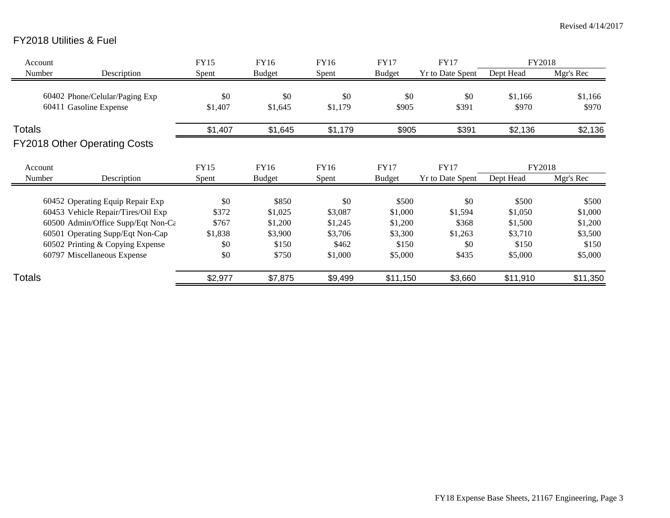# FY2018 Utilities & Fuel

| Account       |                                     | <b>FY15</b> | FY16          | FY16    | <b>FY17</b>   | <b>FY17</b>             | FY2018    |           |
|---------------|-------------------------------------|-------------|---------------|---------|---------------|-------------------------|-----------|-----------|
| Number        | Description                         | Spent       | <b>Budget</b> | Spent   | <b>Budget</b> | <b>Yr to Date Spent</b> | Dept Head | Mgr's Rec |
|               |                                     |             |               |         |               |                         |           |           |
|               | 60402 Phone/Celular/Paging Exp      | \$0         | \$0           | \$0     | \$0           | \$0                     | \$1,166   | \$1,166   |
|               | 60411 Gasoline Expense              | \$1,407     | \$1,645       | \$1,179 | \$905         | \$391                   | \$970     | \$970     |
| <b>Totals</b> |                                     | \$1,407     | \$1,645       | \$1,179 | \$905         | \$391                   | \$2,136   | \$2,136   |
|               | <b>FY2018 Other Operating Costs</b> |             |               |         |               |                         |           |           |
| Account       |                                     | <b>FY15</b> | FY16          | FY16    | <b>FY17</b>   | <b>FY17</b>             | FY2018    |           |
| Number        | Description                         | Spent       | <b>Budget</b> | Spent   | <b>Budget</b> | <b>Yr to Date Spent</b> | Dept Head | Mgr's Rec |
|               | 60452 Operating Equip Repair Exp    | \$0         | \$850         | \$0     | \$500         | \$0                     | \$500     | \$500     |
|               |                                     |             |               |         |               |                         |           |           |
|               | 60453 Vehicle Repair/Tires/Oil Exp  | \$372       | \$1,025       | \$3,087 | \$1,000       | \$1,594                 | \$1,050   | \$1,000   |
|               | 60500 Admin/Office Supp/Eqt Non-Ca  | \$767       | \$1,200       | \$1,245 | \$1,200       | \$368                   | \$1,500   | \$1,200   |
|               | 60501 Operating Supp/Eqt Non-Cap    | \$1,838     | \$3,900       | \$3,706 | \$3,300       | \$1,263                 | \$3,710   | \$3,500   |
|               | 60502 Printing & Copying Expense    | \$0         | \$150         | \$462   | \$150         | \$0                     | \$150     | \$150     |
|               | 60797 Miscellaneous Expense         | \$0         | \$750         | \$1,000 | \$5,000       | \$435                   | \$5,000   | \$5,000   |
| Totals        |                                     | \$2,977     | \$7,875       | \$9,499 | \$11,150      | \$3,660                 | \$11,910  | \$11,350  |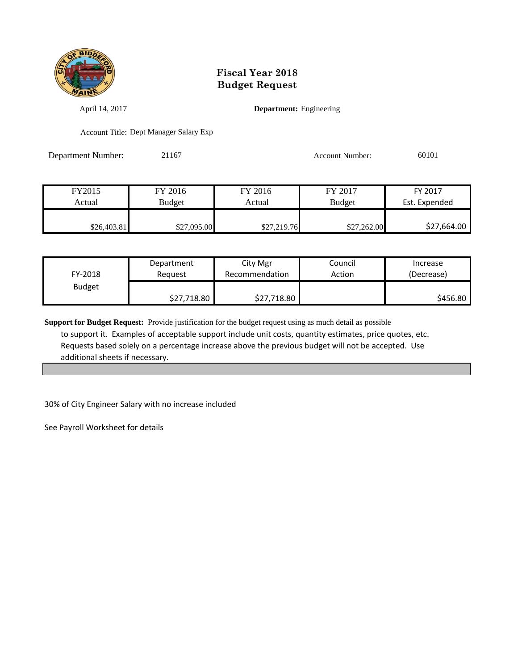

April 14, 2017 **Department:** Engineering

Account Title: Dept Manager Salary Exp

Department Number: 21167 Account Number: 60101

| FY2015      | FY 2016     | FY 2016     | FY 2017       | FY 2017       |
|-------------|-------------|-------------|---------------|---------------|
| Actual      | Budget      | Actual      | <b>Budget</b> | Est. Expended |
|             |             |             |               |               |
| \$26,403.81 | \$27,095.00 | \$27,219.76 | \$27,262.00   | \$27,664.00   |

| FY-2018       | Department  | City Mgr       | Council | Increase   |
|---------------|-------------|----------------|---------|------------|
|               | Reauest     | Recommendation | Action  | (Decrease) |
| <b>Budget</b> | \$27,718.80 | \$27,718.80    |         | \$456.80   |

**Support for Budget Request:** Provide justification for the budget request using as much detail as possible to support it. Examples of acceptable support include unit costs, quantity estimates, price quotes, etc. Requests based solely on a percentage increase above the previous budget will not be accepted. Use additional sheets if necessary.

30% of City Engineer Salary with no increase included

See Payroll Worksheet for details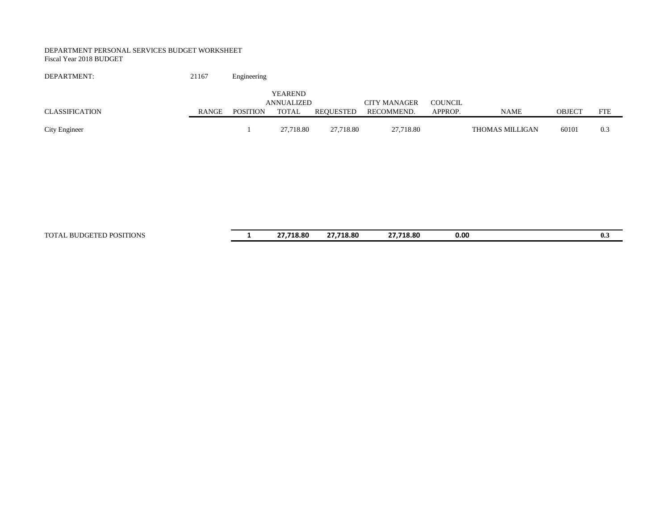#### DEPARTMENT PERSONAL SERVICES BUDGET WORKSHEET Fiscal Year 2018 BUDGET

| DEPARTMENT:    | 21167 | Engineering     |                                              |           |                                   |                           |                 |               |            |
|----------------|-------|-----------------|----------------------------------------------|-----------|-----------------------------------|---------------------------|-----------------|---------------|------------|
| CLASSIFICATION | RANGE | <b>POSITION</b> | <b>YEAREND</b><br>ANNUALIZED<br><b>TOTAL</b> | REOUESTED | <b>CITY MANAGER</b><br>RECOMMEND. | <b>COUNCIL</b><br>APPROP. | <b>NAME</b>     | <b>OBJECT</b> | <b>FTE</b> |
| City Engineer  |       |                 | 27,718.80                                    | 27,718.80 | 27,718.80                         |                           | THOMAS MILLIGAN | 60101         | 0.3        |

TOTAL BUDGETED POSITIONS **1 27,718.80 27,718.80 27,718.80 0.00 0.3**

| 27,718.80 | 27,718.80 | 27,718.80 | 0.00 | 0 |
|-----------|-----------|-----------|------|---|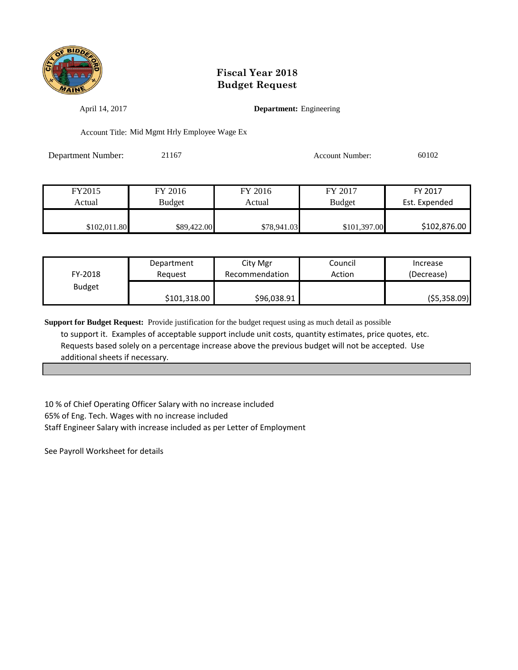

April 14, 2017 **Department:** Engineering

Account Title: Mid Mgmt Hrly Employee Wage Ex

Department Number: 21167 Account Number: 60102

| FY2015       | FY 2016       | FY 2016     | FY 2017       | FY 2017       |
|--------------|---------------|-------------|---------------|---------------|
| Actual       | <b>Budget</b> | Actual      | <b>Budget</b> | Est. Expended |
|              |               |             |               |               |
| \$102,011.80 | \$89,422.00   | \$78,941.03 | \$101,397.00  | \$102,876.00  |

| FY-2018       | Department   | City Mgr       | Council | Increase    |
|---------------|--------------|----------------|---------|-------------|
|               | Reauest      | Recommendation | Action  | (Decrease)  |
| <b>Budget</b> | \$101,318.00 | \$96,038.91    |         | (55,358.09) |

**Support for Budget Request:** Provide justification for the budget request using as much detail as possible to support it. Examples of acceptable support include unit costs, quantity estimates, price quotes, etc. Requests based solely on a percentage increase above the previous budget will not be accepted. Use additional sheets if necessary.

10 % of Chief Operating Officer Salary with no increase included 65% of Eng. Tech. Wages with no increase included Staff Engineer Salary with increase included as per Letter of Employment

See Payroll Worksheet for details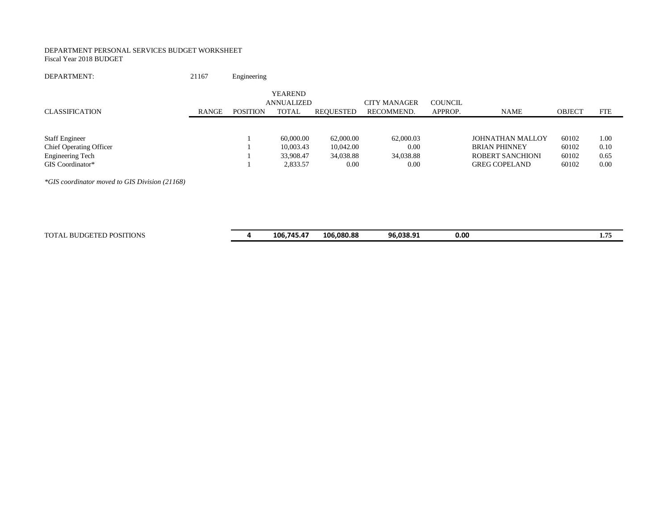#### DEPARTMENT PERSONAL SERVICES BUDGET WORKSHEET Fiscal Year 2018 BUDGET

DEPARTMENT: 21167 Engineering

|                                                |       |                 | <b>YEAREND</b><br>ANNUALIZED |           | <b>CITY MANAGER</b> | COUNCIL |                         |               |            |
|------------------------------------------------|-------|-----------------|------------------------------|-----------|---------------------|---------|-------------------------|---------------|------------|
| <b>CLASSIFICATION</b>                          | RANGE | <b>POSITION</b> | <b>TOTAL</b>                 | REQUESTED | RECOMMEND.          | APPROP. | <b>NAME</b>             | <b>OBJECT</b> | <b>FTE</b> |
|                                                |       |                 |                              |           |                     |         |                         |               |            |
| <b>Staff Engineer</b>                          |       |                 | 60,000.00                    | 62,000.00 | 62,000.03           |         | <b>JOHNATHAN MALLOY</b> | 60102         | 1.00       |
| <b>Chief Operating Officer</b>                 |       |                 | 10,003.43                    | 10,042.00 | 0.00                |         | <b>BRIAN PHINNEY</b>    | 60102         | 0.10       |
| <b>Engineering Tech</b>                        |       |                 | 33,908.47                    | 34,038.88 | 34,038.88           |         | <b>ROBERT SANCHIONI</b> | 60102         | 0.65       |
| GIS Coordinator*                               |       |                 | 2,833.57                     | 0.00      | 0.00                |         | <b>GREG COPELAND</b>    | 60102         | 0.00       |
| *GIS coordinator moved to GIS Division (21168) |       |                 |                              |           |                     |         |                         |               |            |

TOTAL BUDGETED POSITIONS **4 106,745.47 106,080.88 96,038.91 0.00 1.75**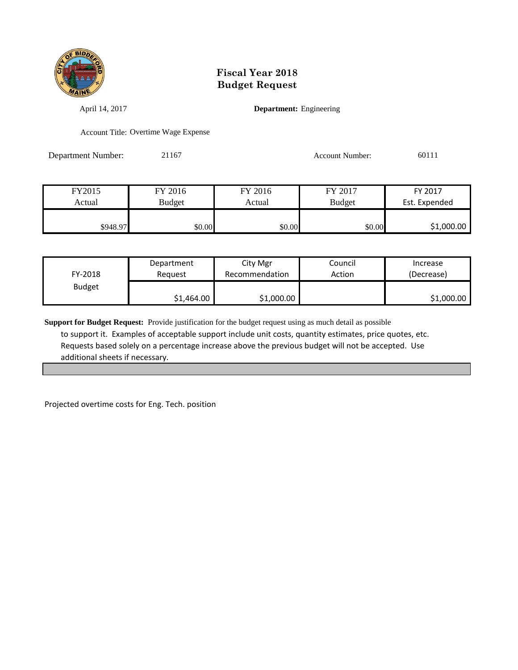

April 14, 2017 **Department:** Engineering

Account Title: Overtime Wage Expense

Department Number: 21167 Account Number: 60111

| FY2015   | FY 2016 | FY 2016 | FY 2017       | FY 2017       |
|----------|---------|---------|---------------|---------------|
| Actual   | Budget  | Actual  | <b>Budget</b> | Est. Expended |
|          |         |         |               |               |
| \$948.97 | \$0.00  | \$0.00  | \$0.00        | \$1,000.00    |

| FY-2018       | Department | City Mgr       |  | Increase   |
|---------------|------------|----------------|--|------------|
|               | Reguest    | Recommendation |  | (Decrease) |
| <b>Budget</b> | \$1,464.00 | \$1,000.00     |  | \$1,000.00 |

**Support for Budget Request:** Provide justification for the budget request using as much detail as possible to support it. Examples of acceptable support include unit costs, quantity estimates, price quotes, etc. Requests based solely on a percentage increase above the previous budget will not be accepted. Use additional sheets if necessary.

Projected overtime costs for Eng. Tech. position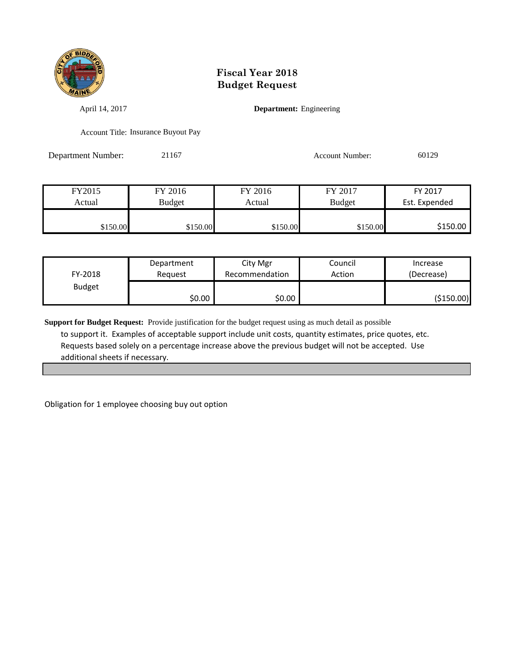

April 14, 2017 **Department:** Engineering

Account Title: Insurance Buyout Pay

Department Number: 21167 Account Number: 60129

| FY2015   | FY 2016       | FY 2016  | FY 2017       | FY 2017       |
|----------|---------------|----------|---------------|---------------|
| Actual   | <b>Budget</b> | Actual   | <b>Budget</b> | Est. Expended |
|          |               |          |               |               |
| \$150.00 | \$150.00      | \$150.00 | \$150.00      | \$150.00      |

| FY-2018       | Department | City Mgr       | Council | Increase   |
|---------------|------------|----------------|---------|------------|
|               | Reauest    | Recommendation | Action  | (Decrease) |
| <b>Budget</b> | \$0.00     | \$0.00         |         | (\$150.00) |

**Support for Budget Request:** Provide justification for the budget request using as much detail as possible to support it. Examples of acceptable support include unit costs, quantity estimates, price quotes, etc. Requests based solely on a percentage increase above the previous budget will not be accepted. Use additional sheets if necessary.

Obligation for 1 employee choosing buy out option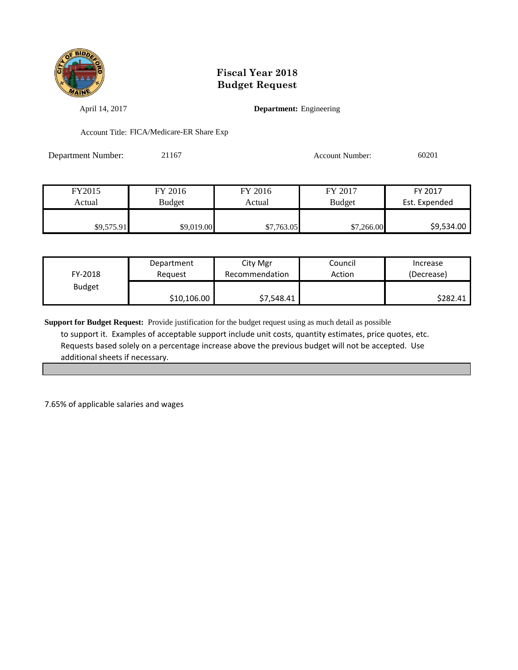

April 14, 2017 **Department:** Engineering

Account Title: FICA/Medicare-ER Share Exp

Department Number: 21167 Account Number: 60201

| FY2015     | FY 2016       | FY 2016    | FY 2017       | FY 2017       |
|------------|---------------|------------|---------------|---------------|
| Actual     | <b>Budget</b> | Actual     | <b>Budget</b> | Est. Expended |
|            |               |            |               |               |
| \$9,575.91 | \$9,019.00    | \$7,763.05 | \$7,266.00    | \$9,534.00    |

| FY-2018       | Department  | City Mgr       | Council | Increase   |
|---------------|-------------|----------------|---------|------------|
|               | Reauest     | Recommendation | Action  | (Decrease) |
| <b>Budget</b> | \$10,106.00 | \$7,548.41     |         | \$282.41   |

**Support for Budget Request:** Provide justification for the budget request using as much detail as possible to support it. Examples of acceptable support include unit costs, quantity estimates, price quotes, etc. Requests based solely on a percentage increase above the previous budget will not be accepted. Use additional sheets if necessary.

7.65% of applicable salaries and wages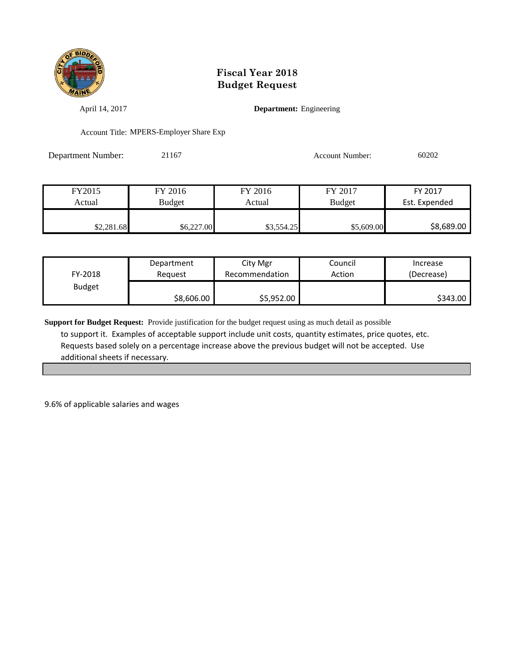

April 14, 2017 **Department:** Engineering

Account Title: MPERS-Employer Share Exp

Department Number: 21167 Account Number: 60202

| FY2015     | FY 2016    | FY 2016    | FY 2017       | FY 2017       |
|------------|------------|------------|---------------|---------------|
| Actual     | Budget     | Actual     | <b>Budget</b> | Est. Expended |
|            |            |            |               |               |
| \$2,281.68 | \$6,227.00 | \$3,554.25 | \$5,609.00    | \$8,689.00    |

| FY-2018       | Department | City Mgr       | Council | Increase   |
|---------------|------------|----------------|---------|------------|
|               | Reguest    | Recommendation | Action  | (Decrease) |
| <b>Budget</b> | \$8,606.00 | \$5,952.00     |         | \$343.00   |

**Support for Budget Request:** Provide justification for the budget request using as much detail as possible to support it. Examples of acceptable support include unit costs, quantity estimates, price quotes, etc. Requests based solely on a percentage increase above the previous budget will not be accepted. Use additional sheets if necessary.

9.6% of applicable salaries and wages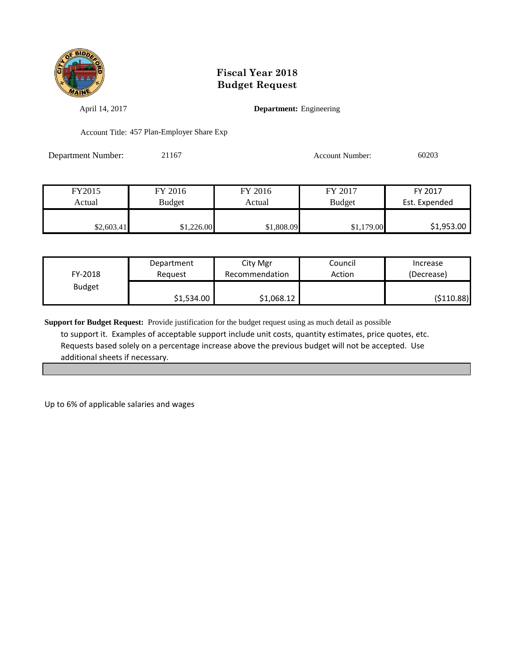

April 14, 2017 **Department:** Engineering

Account Title: 457 Plan-Employer Share Exp

Department Number: 21167 Account Number: 60203

| FY2015     | FY 2016       | FY 2016    | FY 2017       | FY 2017       |
|------------|---------------|------------|---------------|---------------|
| Actual     | <b>Budget</b> | Actual     | <b>Budget</b> | Est. Expended |
|            |               |            |               |               |
| \$2,603.41 | \$1,226.00    | \$1,808.09 | \$1,179.00    | \$1,953.00    |

| FY-2018       | Department | City Mgr       | Council | Increase   |
|---------------|------------|----------------|---------|------------|
|               | Reauest    | Recommendation | Action  | (Decrease) |
| <b>Budget</b> | \$1,534.00 | \$1,068.12     |         | (\$110.88) |

**Support for Budget Request:** Provide justification for the budget request using as much detail as possible to support it. Examples of acceptable support include unit costs, quantity estimates, price quotes, etc. Requests based solely on a percentage increase above the previous budget will not be accepted. Use additional sheets if necessary.

Up to 6% of applicable salaries and wages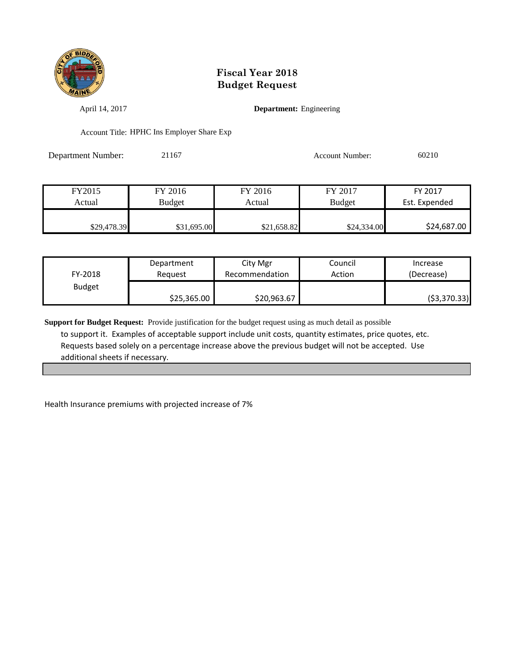

April 14, 2017 **Department:** Engineering

Account Title: HPHC Ins Employer Share Exp

Department Number: 21167 Account Number: 60210

| FY2015      | FY 2016       | FY 2016     | FY 2017       | FY 2017       |
|-------------|---------------|-------------|---------------|---------------|
| Actual      | <b>Budget</b> | Actual      | <b>Budget</b> | Est. Expended |
|             |               |             |               |               |
| \$29,478.39 | \$31,695.00   | \$21,658.82 | \$24,334.00   | \$24,687.00   |

| FY-2018       | Department  | City Mgr       | Council | Increase    |
|---------------|-------------|----------------|---------|-------------|
|               | Reauest     | Recommendation | Action  | (Decrease)  |
| <b>Budget</b> | \$25,365.00 | \$20,963.67    |         | (53,370.33) |

**Support for Budget Request:** Provide justification for the budget request using as much detail as possible to support it. Examples of acceptable support include unit costs, quantity estimates, price quotes, etc. Requests based solely on a percentage increase above the previous budget will not be accepted. Use additional sheets if necessary.

Health Insurance premiums with projected increase of 7%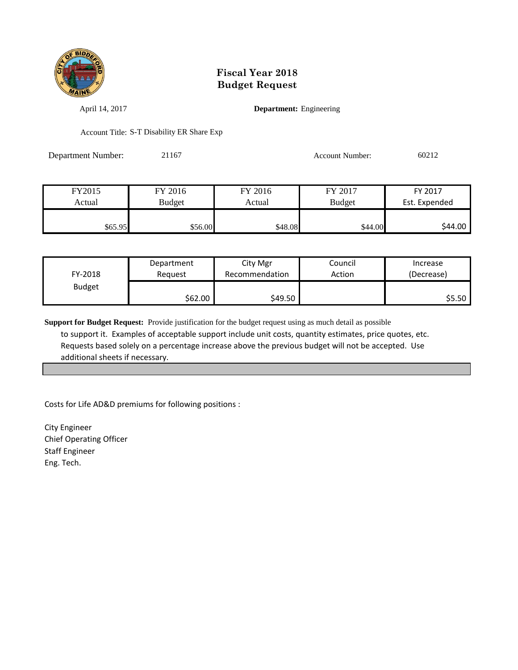

April 14, 2017 **Department:** Engineering

Account Title: S-T Disability ER Share Exp

Department Number: 21167 Account Number: 60212

| FY2015  | FY 2016 | FY 2016 | FY 2017       | FY 2017       |
|---------|---------|---------|---------------|---------------|
| Actual  | Budget  | Actual  | <b>Budget</b> | Est. Expended |
|         |         |         |               |               |
| \$65.95 | \$56.00 | \$48.08 | \$44.00       | \$44.00       |

| FY-2018       | Department | City Mgr       | Council | Increase   |
|---------------|------------|----------------|---------|------------|
|               | Reguest    | Recommendation | Action  | (Decrease) |
| <b>Budget</b> | \$62.00    | \$49.50        |         | \$5.50     |

**Support for Budget Request:** Provide justification for the budget request using as much detail as possible to support it. Examples of acceptable support include unit costs, quantity estimates, price quotes, etc. Requests based solely on a percentage increase above the previous budget will not be accepted. Use additional sheets if necessary.

Costs for Life AD&D premiums for following positions :

City Engineer Chief Operating Officer Staff Engineer Eng. Tech.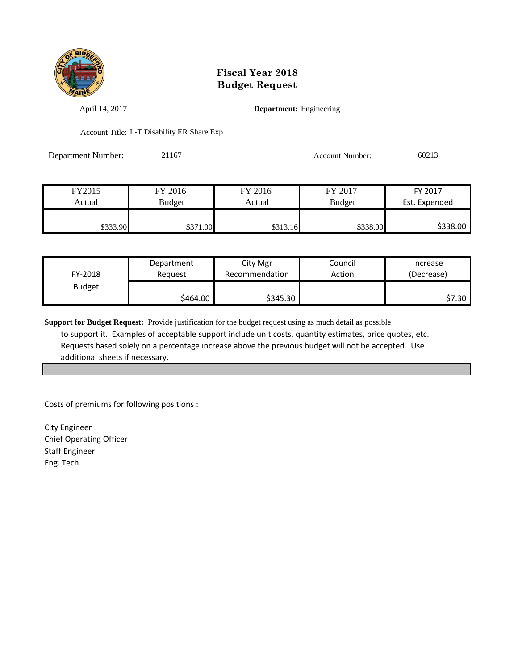

April 14, 2017 **Department:** Engineering

Account Title: L-T Disability ER Share Exp

Department Number: 21167 Account Number: 60213

| FY2015   | FY 2016  | FY 2016  | FY 2017       | FY 2017       |
|----------|----------|----------|---------------|---------------|
| Actual   | Budget   | Actual   | <b>Budget</b> | Est. Expended |
|          |          |          |               |               |
| \$333.90 | \$371.00 | \$313.16 | \$338.00      | \$338.00      |

| FY-2018       | Department | City Mgr       | Council | Increase   |
|---------------|------------|----------------|---------|------------|
|               | Reauest    | Recommendation | Action  | (Decrease) |
| <b>Budget</b> | \$464.00∣  | \$345.30       |         | \$7.30     |

**Support for Budget Request:** Provide justification for the budget request using as much detail as possible to support it. Examples of acceptable support include unit costs, quantity estimates, price quotes, etc. Requests based solely on a percentage increase above the previous budget will not be accepted. Use additional sheets if necessary.

Costs of premiums for following positions :

City Engineer Chief Operating Officer Staff Engineer Eng. Tech.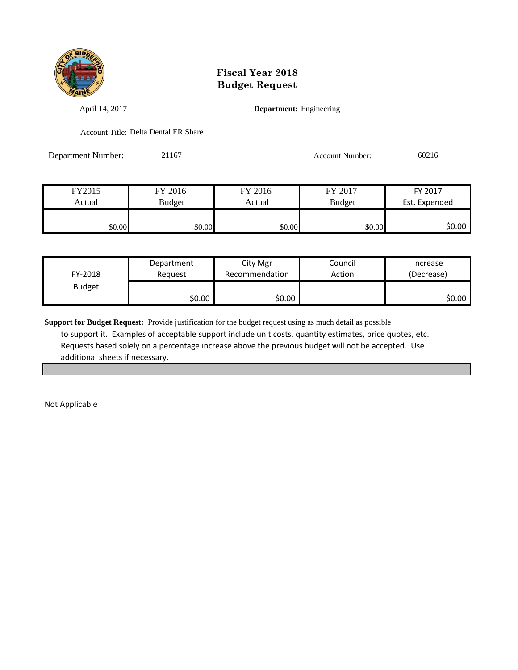

April 14, 2017 **Department:** Engineering

Account Title: Delta Dental ER Share

Department Number: 21167 Account Number: 60216

FY2015 FY 2016 FY 2016 FY 2017 FY 2017 Actual Budget Actual Budget Est. Expended \$0.00 \$0.00 \$0.00 \$0.00 \$0.00 \$0.00 \$0.00 \$0.00

| FY-2018       | Department | City Mgr       | Council | Increase   |
|---------------|------------|----------------|---------|------------|
|               | Reauest    | Recommendation | Action  | (Decrease) |
| <b>Budget</b> | \$0.00     | \$0.00         |         | \$0.00     |

**Support for Budget Request:** Provide justification for the budget request using as much detail as possible to support it. Examples of acceptable support include unit costs, quantity estimates, price quotes, etc. Requests based solely on a percentage increase above the previous budget will not be accepted. Use additional sheets if necessary.

Not Applicable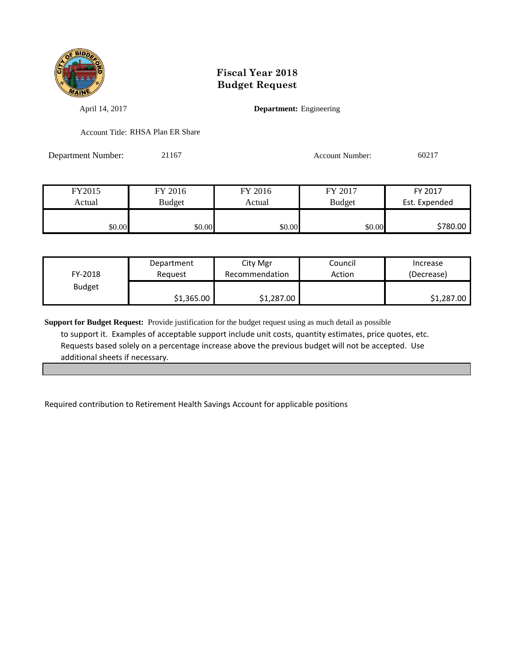

April 14, 2017 **Department:** Engineering

Account Title: RHSA Plan ER Share

Department Number: 21167 Account Number: 60217

| FY2015 | FY 2016 | FY 2016 | FY 2017       | FY 2017       |
|--------|---------|---------|---------------|---------------|
| Actual | Budget  | Actual  | <b>Budget</b> | Est. Expended |
|        |         |         |               |               |
| \$0.00 | \$0.00  | \$0.00  | \$0.00        | \$780.00      |

| FY-2018       | Department | City Mgr       | Council | Increase   |
|---------------|------------|----------------|---------|------------|
|               | Reauest    | Recommendation | Action  | (Decrease) |
| <b>Budget</b> | \$1,365.00 | \$1,287.00     |         | \$1,287.00 |

**Support for Budget Request:** Provide justification for the budget request using as much detail as possible to support it. Examples of acceptable support include unit costs, quantity estimates, price quotes, etc. Requests based solely on a percentage increase above the previous budget will not be accepted. Use additional sheets if necessary.

Required contribution to Retirement Health Savings Account for applicable positions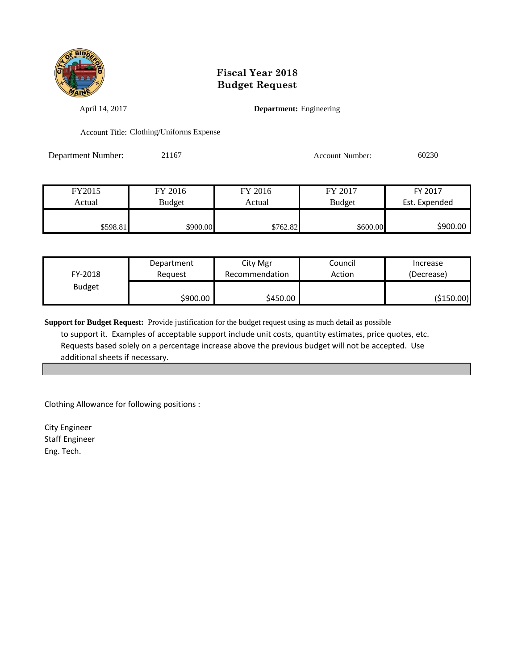

April 14, 2017 **Department:** Engineering

Account Title: Clothing/Uniforms Expense

Department Number: 21167 Account Number: 60230

| FY2015   | FY 2016  | FY 2016  | FY 2017       | FY 2017       |
|----------|----------|----------|---------------|---------------|
| Actual   | Budget   | Actual   | <b>Budget</b> | Est. Expended |
|          |          |          |               |               |
| \$598.81 | \$900.00 | \$762.82 | \$600.00      | \$900.00      |

| FY-2018       | Department | City Mgr       | Council | Increase   |
|---------------|------------|----------------|---------|------------|
|               | Reauest    | Recommendation | Action  | (Decrease) |
| <b>Budget</b> | \$900.00   | \$450.00       |         | (\$150.00) |

**Support for Budget Request:** Provide justification for the budget request using as much detail as possible to support it. Examples of acceptable support include unit costs, quantity estimates, price quotes, etc. Requests based solely on a percentage increase above the previous budget will not be accepted. Use additional sheets if necessary.

Clothing Allowance for following positions :

City Engineer Staff Engineer Eng. Tech.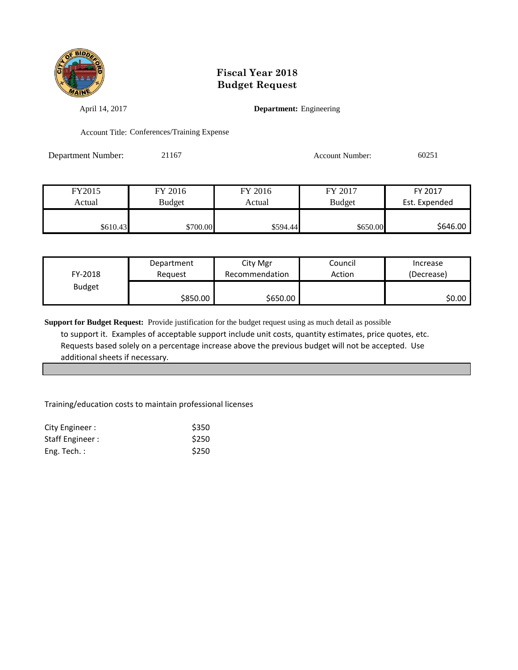

April 14, 2017 **Department:** Engineering

Account Title: Conferences/Training Expense

Department Number: 21167 Account Number: 60251

FY2015 FY 2016 FY 2016 FY 2017 FY 2017 Actual Budget Actual Budget Est. Expended \$610.43 \$700.00 \$594.44 \$650.00 \$646.00

| FY-2018       | Department | City Mgr       | Council | Increase   |
|---------------|------------|----------------|---------|------------|
|               | Reguest    | Recommendation | Action  | (Decrease) |
| <b>Budget</b> | \$850.00   | \$650.00       |         | \$0.00     |

**Support for Budget Request:** Provide justification for the budget request using as much detail as possible to support it. Examples of acceptable support include unit costs, quantity estimates, price quotes, etc. Requests based solely on a percentage increase above the previous budget will not be accepted. Use additional sheets if necessary.

Training/education costs to maintain professional licenses

| City Engineer : | \$350       |
|-----------------|-------------|
| Staff Engineer: | \$250       |
| Eng. Tech. $:$  | <b>S250</b> |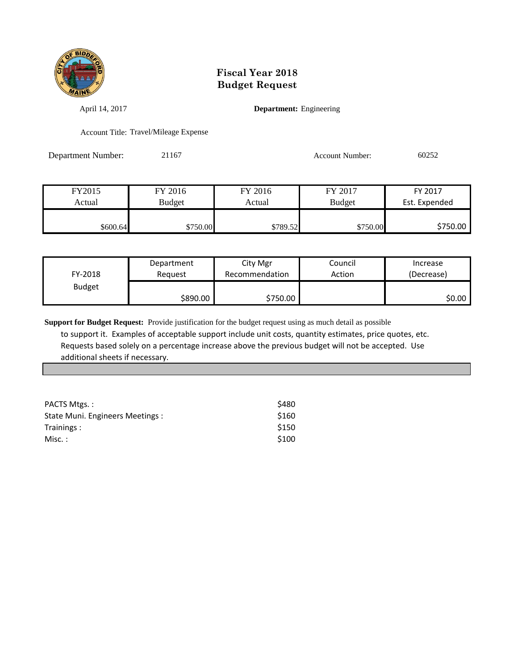

April 14, 2017 **Department:** Engineering

Account Title: Travel/Mileage Expense

Department Number: 21167 Account Number: 60252

FY2015 FY 2016 FY 2016 FY 2017 FY 2017 Actual Budget Actual Budget Est. Expended  $$600.64$  \$750.00 \$789.52 \$750.00 \$750.00

| FY-2018       | Department | City Mgr       | Council | Increase   |
|---------------|------------|----------------|---------|------------|
|               | Reauest    | Recommendation | Action  | (Decrease) |
| <b>Budget</b> | \$890.00   | \$750.00       |         | SO.OO I    |

**Support for Budget Request:** Provide justification for the budget request using as much detail as possible to support it. Examples of acceptable support include unit costs, quantity estimates, price quotes, etc. Requests based solely on a percentage increase above the previous budget will not be accepted. Use additional sheets if necessary.

| PACTS Mtgs.:                     | \$480 |
|----------------------------------|-------|
| State Muni. Engineers Meetings : | \$160 |
| Trainings:                       | \$150 |
| Misc. :                          | \$100 |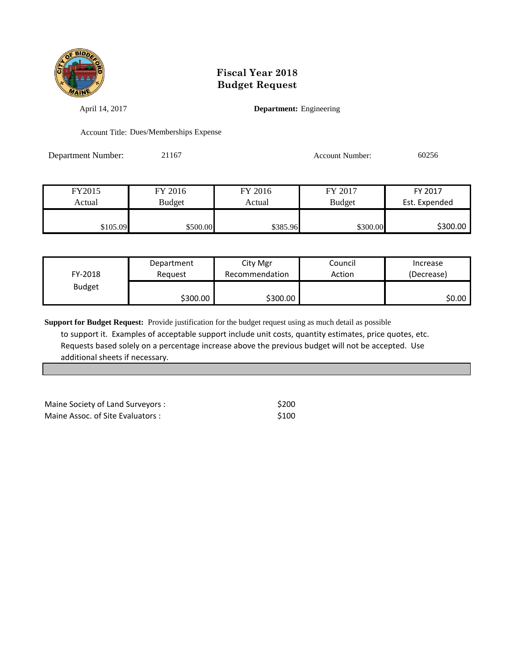

April 14, 2017 **Department:** Engineering

Account Title: Dues/Memberships Expense

Department Number: 21167 Account Number: 60256

| FY2015   | FY 2016       | FY 2016  | FY 2017       | FY 2017       |
|----------|---------------|----------|---------------|---------------|
| Actual   | <b>Budget</b> | Actual   | <b>Budget</b> | Est. Expended |
|          |               |          |               |               |
| \$105.09 | \$500.00      | \$385.96 | \$300.00      | \$300.00      |

| FY-2018       | Department | City Mgr       | Council | Increase   |
|---------------|------------|----------------|---------|------------|
|               | Reguest    | Recommendation | Action  | (Decrease) |
| <b>Budget</b> | \$300.00   | \$300.00       |         | \$0.00     |

**Support for Budget Request:** Provide justification for the budget request using as much detail as possible to support it. Examples of acceptable support include unit costs, quantity estimates, price quotes, etc. Requests based solely on a percentage increase above the previous budget will not be accepted. Use additional sheets if necessary.

Maine Society of Land Surveyors :  $$200$ Maine Assoc. of Site Evaluators :  $$100$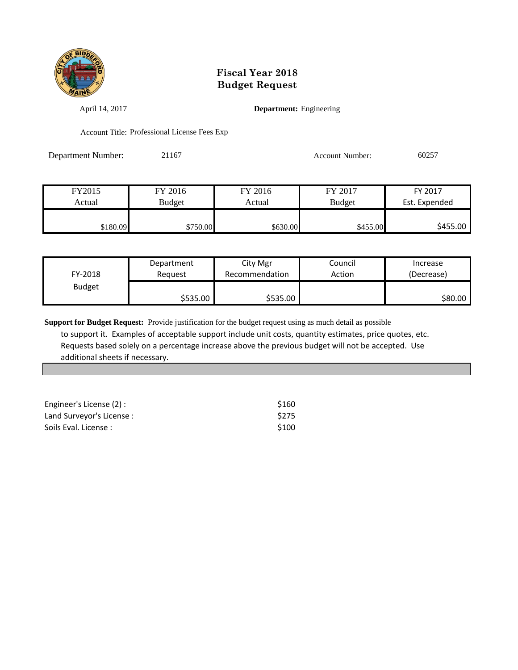

April 14, 2017 **Department:** Engineering

Account Title: Professional License Fees Exp

Department Number: 21167 Account Number: 60257

| FY2015   | FY 2016       | FY 2016  | FY 2017       | FY 2017       |
|----------|---------------|----------|---------------|---------------|
| Actual   | <b>Budget</b> | Actual   | <b>Budget</b> | Est. Expended |
|          |               |          |               |               |
| \$180.09 | \$750.00      | \$630.00 | \$455.00      | \$455.00      |

| FY-2018       | Department | City Mgr       | Council | Increase   |
|---------------|------------|----------------|---------|------------|
|               | Reauest    | Recommendation | Action  | (Decrease) |
| <b>Budget</b> | \$535.00   | \$535.00       |         | \$80.00    |

**Support for Budget Request:** Provide justification for the budget request using as much detail as possible to support it. Examples of acceptable support include unit costs, quantity estimates, price quotes, etc. Requests based solely on a percentage increase above the previous budget will not be accepted. Use additional sheets if necessary.

| Engineer's License (2) :  | \$160            |
|---------------------------|------------------|
| Land Surveyor's License : | <b>S275</b>      |
| Soils Eval. License:      | S <sub>100</sub> |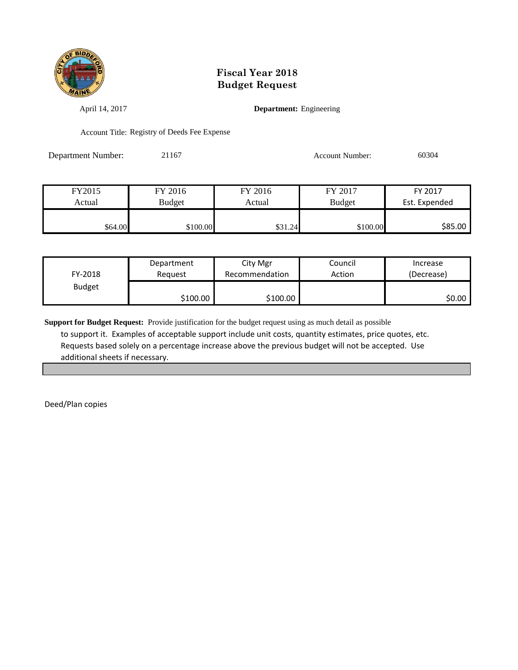

April 14, 2017 **Department:** Engineering

Account Title: Registry of Deeds Fee Expense

Department Number: 21167 Account Number: 60304

| FY2015  | FY 2016       | FY 2016 | FY 2017       | FY 2017       |
|---------|---------------|---------|---------------|---------------|
| Actual  | <b>Budget</b> | Actual  | <b>Budget</b> | Est. Expended |
|         |               |         |               |               |
| \$64.00 | \$100.00      | \$31.24 | \$100.00      | \$85.00       |

| FY-2018       | Department | City Mgr       | Council | Increase   |
|---------------|------------|----------------|---------|------------|
|               | Reauest    | Recommendation | Action  | (Decrease) |
| <b>Budget</b> | S100.00 I  | \$100.00       |         | \$0.00     |

**Support for Budget Request:** Provide justification for the budget request using as much detail as possible to support it. Examples of acceptable support include unit costs, quantity estimates, price quotes, etc. Requests based solely on a percentage increase above the previous budget will not be accepted. Use additional sheets if necessary.

Deed/Plan copies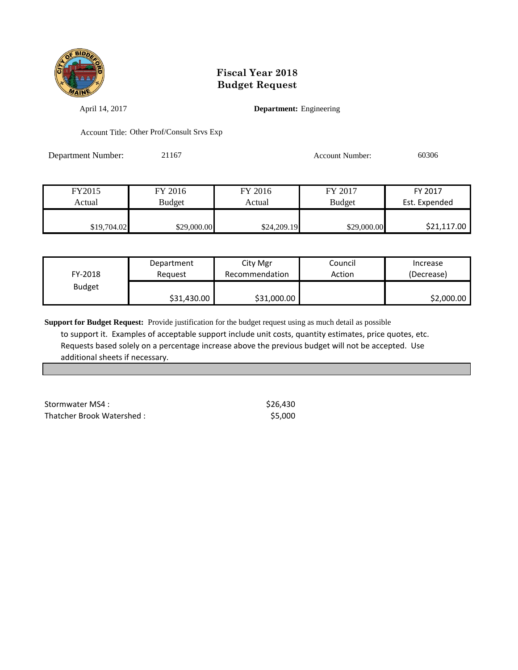

April 14, 2017 **Department:** Engineering

Account Title: Other Prof/Consult Srvs Exp

Department Number: 21167 Account Number: 60306

| FY2015      | FY 2016       | FY 2016     | FY 2017     | FY 2017       |
|-------------|---------------|-------------|-------------|---------------|
| Actual      | <b>Budget</b> | Actual      | Budget      | Est. Expended |
|             |               |             |             |               |
| \$19,704.02 | \$29,000.00   | \$24,209.19 | \$29,000.00 | \$21,117.00   |

| FY-2018       | Department  | City Mgr       | Council | Increase   |
|---------------|-------------|----------------|---------|------------|
|               | Reguest     | Recommendation | Action  | (Decrease) |
| <b>Budget</b> | \$31,430.00 | \$31,000.00    |         | \$2,000.00 |

**Support for Budget Request:** Provide justification for the budget request using as much detail as possible to support it. Examples of acceptable support include unit costs, quantity estimates, price quotes, etc. Requests based solely on a percentage increase above the previous budget will not be accepted. Use additional sheets if necessary.

Stormwater MS4 :  $$26,430$ Thatcher Brook Watershed :  $$5,000$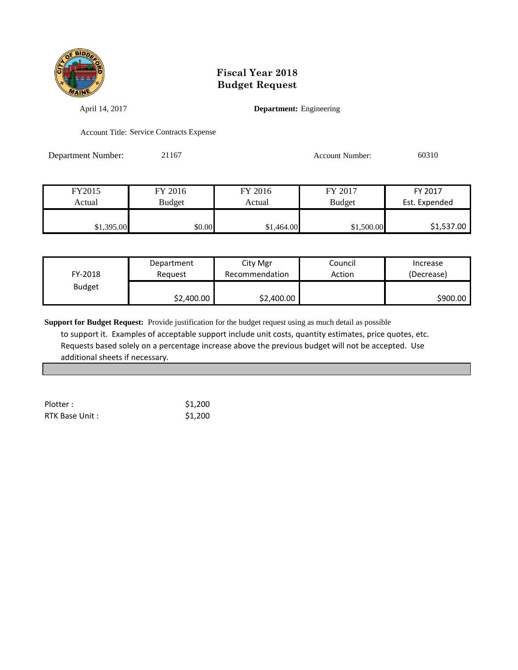

April 14, 2017 **Department:** Engineering

Account Title: Service Contracts Expense

Department Number: 21167 Account Number: 60310

| FY2015     | FY 2016       | FY 2016    | FY 2017       | FY 2017       |
|------------|---------------|------------|---------------|---------------|
| Actual     | <b>Budget</b> | Actual     | <b>Budget</b> | Est. Expended |
|            |               |            |               |               |
| \$1,395.00 | \$0.00        | \$1,464.00 | \$1,500.00    | \$1,537.00    |

| FY-2018       | Department | City Mgr       | Council | Increase   |
|---------------|------------|----------------|---------|------------|
|               | Reauest    | Recommendation | Action  | (Decrease) |
| <b>Budget</b> | \$2,400.00 | \$2,400.00     |         | \$900.00   |

**Support for Budget Request:** Provide justification for the budget request using as much detail as possible to support it. Examples of acceptable support include unit costs, quantity estimates, price quotes, etc. Requests based solely on a percentage increase above the previous budget will not be accepted. Use additional sheets if necessary.

| Plotter:       | \$1,200 |
|----------------|---------|
| RTK Base Unit: | \$1,200 |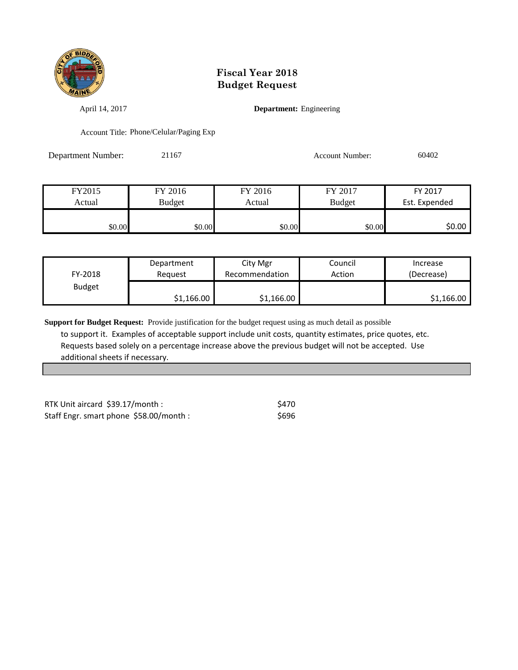

April 14, 2017 **Department:** Engineering

Account Title: Phone/Celular/Paging Exp

Department Number: 21167 Account Number: 60402

| FY2015 | FY 2016       | FY 2016 | FY 2017       | FY 2017       |
|--------|---------------|---------|---------------|---------------|
| Actual | <b>Budget</b> | Actual  | <b>Budget</b> | Est. Expended |
|        |               |         |               |               |
| \$0.00 | \$0.00        | \$0.00  | \$0.00        | \$0.00        |

| FY-2018       | Department | City Mgr       | Council | Increase   |
|---------------|------------|----------------|---------|------------|
|               | Reauest    | Recommendation | Action  | (Decrease) |
| <b>Budget</b> | \$1,166.00 | \$1,166.00     |         | \$1,166.00 |

**Support for Budget Request:** Provide justification for the budget request using as much detail as possible to support it. Examples of acceptable support include unit costs, quantity estimates, price quotes, etc. Requests based solely on a percentage increase above the previous budget will not be accepted. Use additional sheets if necessary.

RTK Unit aircard  $$39.17/m$ onth :  $$470$ Staff Engr. smart phone \$58.00/month : \$696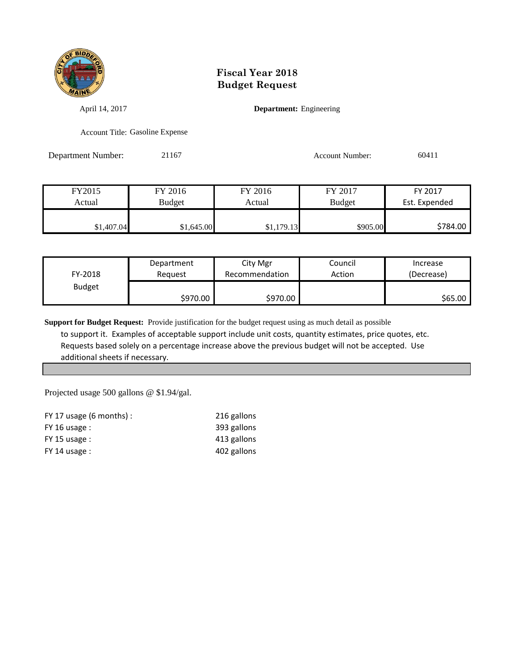

April 14, 2017 **Department:** Engineering

Account Title: Gasoline Expense

Department Number: 21167 Account Number: 60411

| FY2015     | FY 2016       | FY 2016    | FY 2017       | FY 2017       |
|------------|---------------|------------|---------------|---------------|
| Actual     | <b>Budget</b> | Actual     | <b>Budget</b> | Est. Expended |
|            |               |            |               |               |
| \$1,407.04 | \$1,645.00    | \$1,179.13 | \$905.00      | \$784.00      |

| FY-2018       | Department | City Mgr       | Council | Increase   |
|---------------|------------|----------------|---------|------------|
|               | Reauest    | Recommendation | Action  | (Decrease) |
| <b>Budget</b> | \$970.00   | \$970.00       |         | \$65.00    |

**Support for Budget Request:** Provide justification for the budget request using as much detail as possible to support it. Examples of acceptable support include unit costs, quantity estimates, price quotes, etc. Requests based solely on a percentage increase above the previous budget will not be accepted. Use additional sheets if necessary.

Projected usage 500 gallons @ \$1.94/gal.

| FY 17 usage $(6 \text{ months})$ : | 216 gallons |
|------------------------------------|-------------|
| $FY$ 16 usage :                    | 393 gallons |
| $FY$ 15 usage :                    | 413 gallons |
| $FY$ 14 usage :                    | 402 gallons |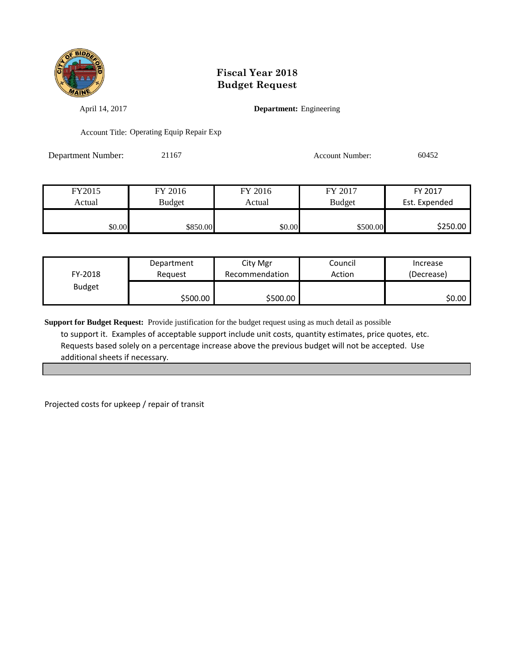

April 14, 2017 **Department:** Engineering

Account Title: Operating Equip Repair Exp

Department Number: 21167 Account Number: 60452

| FY2015 | FY 2016  | FY 2016 | FY 2017       | FY 2017       |
|--------|----------|---------|---------------|---------------|
| Actual | Budget   | Actual  | <b>Budget</b> | Est. Expended |
|        |          |         |               |               |
| \$0.00 | \$850.00 | \$0.00  | \$500.00      | \$250.00      |

| FY-2018       | Department | City Mgr       | Council | Increase   |
|---------------|------------|----------------|---------|------------|
|               | Reauest    | Recommendation | Action  | (Decrease) |
| <b>Budget</b> | \$500.00   | \$500.00       |         | \$0.00     |

**Support for Budget Request:** Provide justification for the budget request using as much detail as possible to support it. Examples of acceptable support include unit costs, quantity estimates, price quotes, etc. Requests based solely on a percentage increase above the previous budget will not be accepted. Use additional sheets if necessary.

Projected costs for upkeep / repair of transit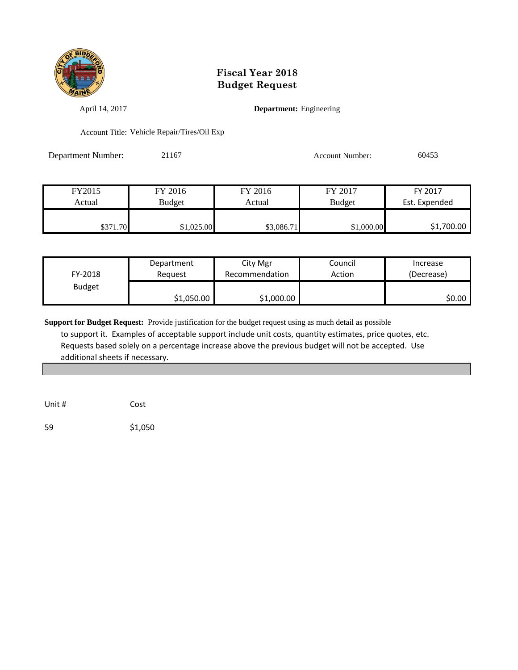

April 14, 2017 **Department:** Engineering

Account Title: Vehicle Repair/Tires/Oil Exp

Department Number: 21167 Account Number: 60453

| FY2015   | FY 2016    | FY 2016    | FY 2017       | FY 2017       |
|----------|------------|------------|---------------|---------------|
| Actual   | Budget     | Actual     | <b>Budget</b> | Est. Expended |
|          |            |            |               |               |
| \$371.70 | \$1,025.00 | \$3,086.71 | \$1,000.00    | \$1,700.00    |

| FY-2018       | Department | City Mgr       | Council | Increase   |
|---------------|------------|----------------|---------|------------|
|               | Reguest    | Recommendation | Action  | (Decrease) |
| <b>Budget</b> | \$1,050.00 | \$1,000.00     |         | \$0.00     |

**Support for Budget Request:** Provide justification for the budget request using as much detail as possible to support it. Examples of acceptable support include unit costs, quantity estimates, price quotes, etc. Requests based solely on a percentage increase above the previous budget will not be accepted. Use additional sheets if necessary.

Unit # Cost

59 \$1,050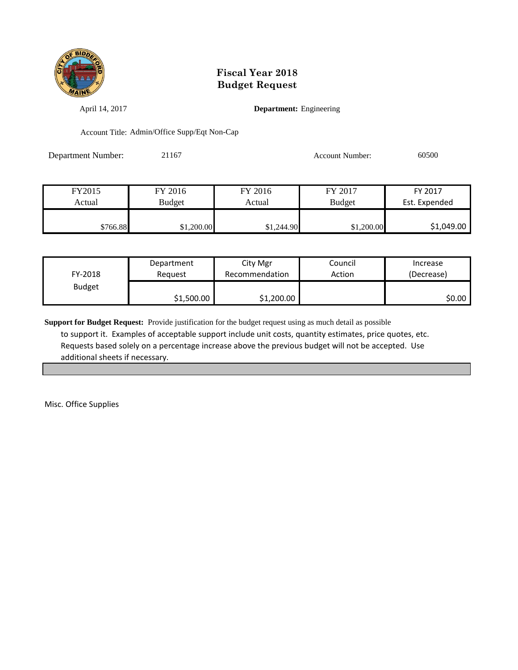

April 14, 2017 **Department:** Engineering

Account Title: Admin/Office Supp/Eqt Non-Cap

Department Number: 21167 Account Number: 60500

| FY2015   | FY 2016    | FY 2016    | FY 2017       | FY 2017       |
|----------|------------|------------|---------------|---------------|
| Actual   | Budget     | Actual     | <b>Budget</b> | Est. Expended |
|          |            |            |               |               |
| \$766.88 | \$1,200.00 | \$1,244.90 | \$1,200.00    | \$1,049.00    |

| FY-2018       | Department | City Mgr       | Council | Increase   |
|---------------|------------|----------------|---------|------------|
|               | Reguest    | Recommendation | Action  | (Decrease) |
| <b>Budget</b> | \$1,500.00 | \$1,200.00     |         | \$0.00     |

**Support for Budget Request:** Provide justification for the budget request using as much detail as possible to support it. Examples of acceptable support include unit costs, quantity estimates, price quotes, etc. Requests based solely on a percentage increase above the previous budget will not be accepted. Use additional sheets if necessary.

Misc. Office Supplies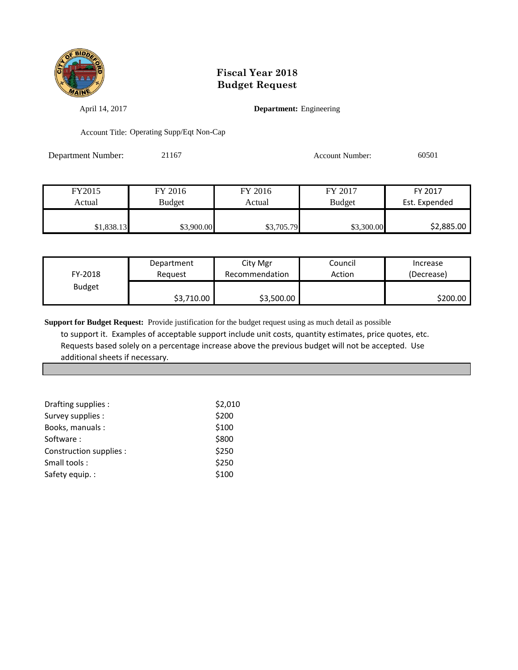

April 14, 2017 **Department:** Engineering

Account Title: Operating Supp/Eqt Non-Cap

Department Number: 21167 Account Number: 60501

| FY2015     | FY 2016       | FY 2016    | FY 2017       | FY 2017       |
|------------|---------------|------------|---------------|---------------|
| Actual     | <b>Budget</b> | Actual     | <b>Budget</b> | Est. Expended |
|            |               |            |               |               |
| \$1,838.13 | \$3,900.00    | \$3,705.79 | \$3,300.00    | \$2,885.00    |

| FY-2018       | Department | City Mgr       | Council | Increase   |
|---------------|------------|----------------|---------|------------|
|               | Reauest    | Recommendation | Action  | (Decrease) |
| <b>Budget</b> | \$3,710.00 | \$3,500.00     |         | \$200.00   |

**Support for Budget Request:** Provide justification for the budget request using as much detail as possible to support it. Examples of acceptable support include unit costs, quantity estimates, price quotes, etc. Requests based solely on a percentage increase above the previous budget will not be accepted. Use additional sheets if necessary.

| Drafting supplies :     | \$2,010 |
|-------------------------|---------|
| Survey supplies :       | \$200   |
| Books, manuals:         | \$100   |
| Software:               | \$800   |
| Construction supplies : | \$250   |
| Small tools:            | \$250   |
| Safety equip.:          | \$100   |
|                         |         |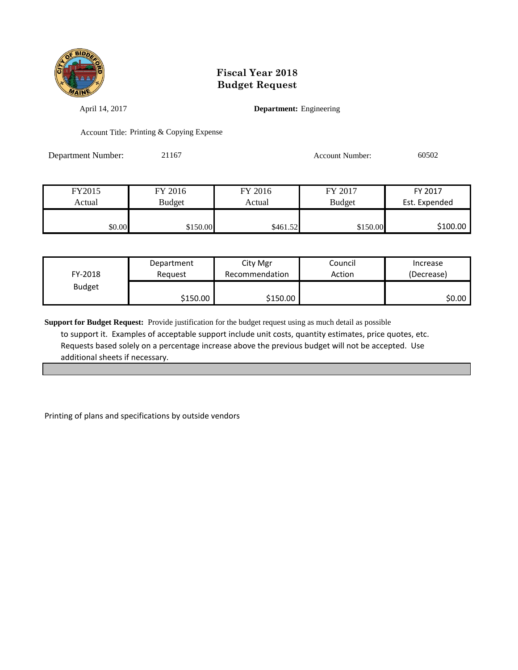

April 14, 2017 **Department:** Engineering

Account Title: Printing & Copying Expense

Department Number: 21167 Account Number: 60502

| FY2015 | FY 2016       | FY 2016  | FY 2017       | FY 2017       |
|--------|---------------|----------|---------------|---------------|
| Actual | <b>Budget</b> | Actual   | <b>Budget</b> | Est. Expended |
|        |               |          |               |               |
| \$0.00 | \$150.00      | \$461.52 | \$150.00      | \$100.00      |

| FY-2018       | Department | City Mgr       | Council | Increase   |
|---------------|------------|----------------|---------|------------|
|               | Reguest    | Recommendation | Action  | (Decrease) |
| <b>Budget</b> | \$150.00   | \$150.00       |         | SO.OO I    |

**Support for Budget Request:** Provide justification for the budget request using as much detail as possible to support it. Examples of acceptable support include unit costs, quantity estimates, price quotes, etc. Requests based solely on a percentage increase above the previous budget will not be accepted. Use additional sheets if necessary.

Printing of plans and specifications by outside vendors